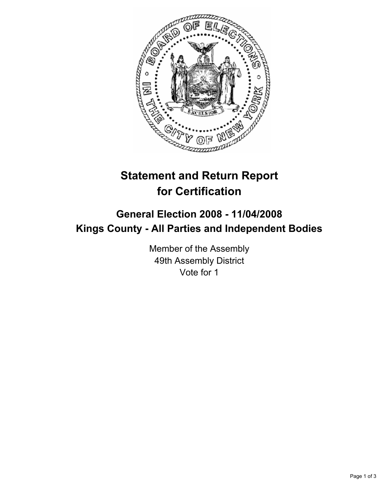

## **Statement and Return Report for Certification**

## **General Election 2008 - 11/04/2008 Kings County - All Parties and Independent Bodies**

Member of the Assembly 49th Assembly District Vote for 1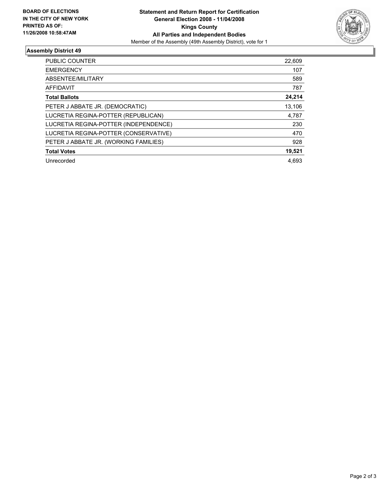

## **Assembly District 49**

| <b>PUBLIC COUNTER</b>                 | 22,609 |
|---------------------------------------|--------|
| <b>EMERGENCY</b>                      | 107    |
| ABSENTEE/MILITARY                     | 589    |
| AFFIDAVIT                             | 787    |
| <b>Total Ballots</b>                  | 24,214 |
| PETER J ABBATE JR. (DEMOCRATIC)       | 13,106 |
| LUCRETIA REGINA-POTTER (REPUBLICAN)   | 4,787  |
| LUCRETIA REGINA-POTTER (INDEPENDENCE) | 230    |
| LUCRETIA REGINA-POTTER (CONSERVATIVE) | 470    |
| PETER J ABBATE JR. (WORKING FAMILIES) | 928    |
| <b>Total Votes</b>                    | 19,521 |
| Unrecorded                            | 4.693  |